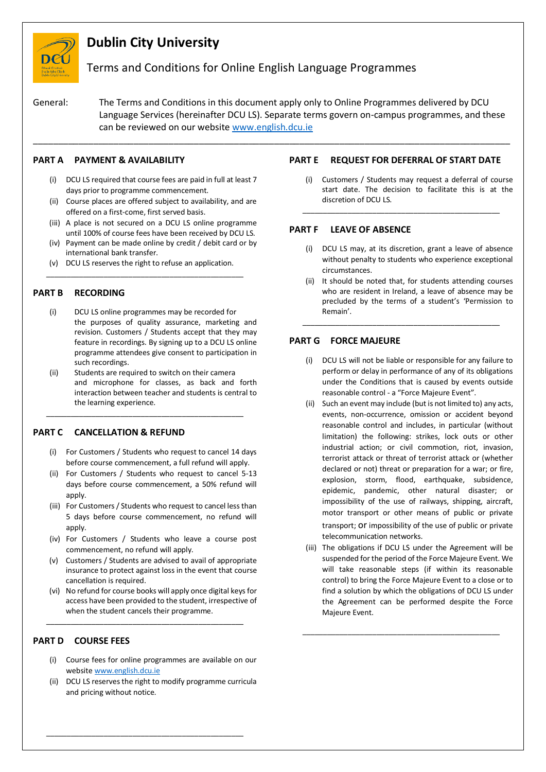

# **Dublin City University**

# Terms and Conditions for Online English Language Programmes

General: The Terms and Conditions in this document apply only to Online Programmes delivered by DCU Language Services (hereinafter DCU LS). Separate terms govern on-campus programmes, and these can be reviewed on our website [www.english.dcu.ie](http://www.english.dcu.ie/)

\_\_\_\_\_\_\_\_\_\_\_\_\_\_\_\_\_\_\_\_\_\_\_\_\_\_\_\_\_\_\_\_\_\_\_\_\_\_\_\_\_\_\_\_\_\_\_\_\_\_\_\_\_\_\_\_\_\_\_\_\_\_\_\_\_\_\_\_\_\_\_\_\_\_\_\_\_\_\_\_\_\_\_\_\_\_\_\_\_\_\_\_\_\_\_

# **PART A PAYMENT & AVAILABILITY**

- (i) DCU LS required that course fees are paid in full at least 7 days prior to programme commencement.
- (ii) Course places are offered subject to availability, and are offered on a first-come, first served basis.
- (iii) A place is not secured on a DCU LS online programme until 100% of course fees have been received by DCU LS.
- (iv) Payment can be made online by credit / debit card or by international bank transfer.
- (v) DCU LS reserves the right to refuse an application. \_\_\_\_\_\_\_\_\_\_\_\_\_\_\_\_\_\_\_\_\_\_\_\_\_\_\_\_\_\_\_\_\_\_\_\_\_\_\_\_\_\_\_\_\_\_\_\_

#### **PART B RECORDING**

- (i) DCU LS online programmes may be recorded for the purposes of quality assurance, marketing and revision. Customers / Students accept that they may feature in recordings. By signing up to a DCU LS online programme attendees give consent to participation in such recordings.
- (ii) Students are required to switch on their camera and microphone for classes, as back and forth interaction between teacher and students is central to the learning experience.

\_\_\_\_\_\_\_\_\_\_\_\_\_\_\_\_\_\_\_\_\_\_\_\_\_\_\_\_\_\_\_\_\_\_\_\_\_\_\_\_\_\_\_\_\_\_\_\_

#### **PART C CANCELLATION & REFUND**

- (i) For Customers / Students who request to cancel 14 days before course commencement, a full refund will apply.
- (ii) For Customers / Students who request to cancel 5-13 days before course commencement, a 50% refund will apply.
- (iii) For Customers / Students who request to cancel less than 5 days before course commencement, no refund will apply.
- (iv) For Customers / Students who leave a course post commencement, no refund will apply.
- (v) Customers / Students are advised to avail of appropriate insurance to protect against loss in the event that course cancellation is required.
- (vi) No refund for course books will apply once digital keys for access have been provided to the student, irrespective of when the student cancels their programme.

\_\_\_\_\_\_\_\_\_\_\_\_\_\_\_\_\_\_\_\_\_\_\_\_\_\_\_\_\_\_\_\_\_\_\_\_\_\_\_\_\_\_\_\_\_\_\_\_

# **PART D COURSE FEES**

- (i) Course fees for online programmes are available on our websit[e www.english.dcu.ie](http://www.english.dcu.ie/)
- (ii) DCU LS reserves the right to modify programme curricula and pricing without notice.

\_\_\_\_\_\_\_\_\_\_\_\_\_\_\_\_\_\_\_\_\_\_\_\_\_\_\_\_\_\_\_\_\_\_\_\_\_\_\_\_\_\_\_\_\_\_\_\_

# **PART E REQUEST FOR DEFERRAL OF START DATE**

(i) Customers / Students may request a deferral of course start date. The decision to facilitate this is at the discretion of DCU LS.

\_\_\_\_\_\_\_\_\_\_\_\_\_\_\_\_\_\_\_\_\_\_\_\_\_\_\_\_\_\_\_\_\_\_\_\_\_\_\_\_\_\_\_\_\_\_\_\_

#### **PART F LEAVE OF ABSENCE**

- (i) DCU LS may, at its discretion, grant a leave of absence without penalty to students who experience exceptional circumstances.
- (ii) It should be noted that, for students attending courses who are resident in Ireland, a leave of absence may be precluded by the terms of a student's 'Permission to Remain'.

\_\_\_\_\_\_\_\_\_\_\_\_\_\_\_\_\_\_\_\_\_\_\_\_\_\_\_\_\_\_\_\_\_\_\_\_\_\_\_\_\_\_\_\_\_\_\_\_

### **PART G FORCE MAJEURE**

- (i) DCU LS will not be liable or responsible for any failure to perform or delay in performance of any of its obligations under the Conditions that is caused by events outside reasonable control - a "Force Majeure Event".
- (ii) Such an event may include (but is not limited to) any acts, events, non-occurrence, omission or accident beyond reasonable control and includes, in particular (without limitation) the following: strikes, lock outs or other industrial action; or civil commotion, riot, invasion, terrorist attack or threat of terrorist attack or (whether declared or not) threat or preparation for a war; or fire, explosion, storm, flood, earthquake, subsidence, epidemic, pandemic, other natural disaster; or impossibility of the use of railways, shipping, aircraft, motor transport or other means of public or private transport; or impossibility of the use of public or private telecommunication networks.
- (iii) The obligations if DCU LS under the Agreement will be suspended for the period of the Force Majeure Event. We will take reasonable steps (if within its reasonable control) to bring the Force Majeure Event to a close or to find a solution by which the obligations of DCU LS under the Agreement can be performed despite the Force Majeure Event.

\_\_\_\_\_\_\_\_\_\_\_\_\_\_\_\_\_\_\_\_\_\_\_\_\_\_\_\_\_\_\_\_\_\_\_\_\_\_\_\_\_\_\_\_\_\_\_\_